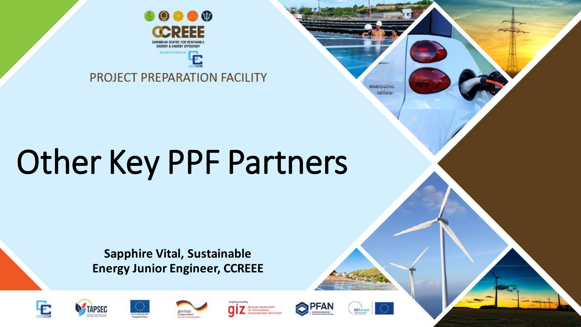

#### PROJECT PREPARATION FACILITY

# Other Key PPF Partners

#### **Sapphire Vital, Sustainable Energy Junior Engineer, CCREEE**

rerman

eggeration









www.arbeit.09173.Gmb





lectric drive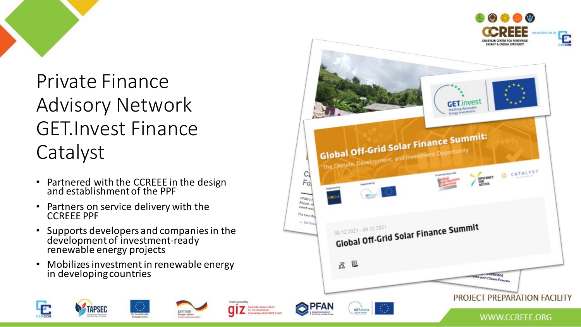

Private Finance Advisory Network GET.Invest Finance Catalyst

- Partnered with the CCREEE in the design and establishment of the PPF
- Partners on service delivery with the CCREEE PPF
- Supports developers and companies in the development of investment-ready renewable energy projects
- Mobilizes investment in renewable energy in developing countries

german

cegoeration

TAPSEC

**Deutsche Genelischaft** 

Lookmeearbeit (GI7) Gnb

für Internationale

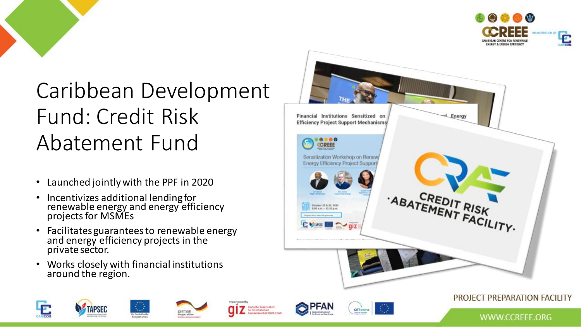

### Caribbean Development Fund: Credit Risk Abatement Fund

- Launched jointly with the PPF in 2020
- Incentivizes additional lending for renewable energy and energy efficiency projects for MSMEs
- Facilitates guarantees to renewable energy and energy efficiency projects in the private sector.

german

cegoeration

**Destache Genelischaft** 

sammenarbeit (GIZ) Gnbi

für Internationale

• Works closely with financial institutions around the region.

TAPSEC



**GET.invest** 

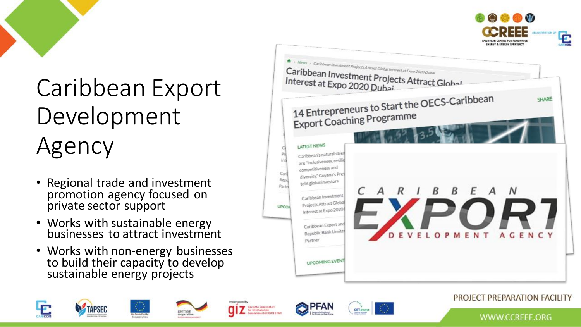



## Caribbean Export Development Agency

- Regional trade and investment promotion agency focused on private sector support
- Works with sustainable energy businesses to attract investment
- Works with non-energy businesses to build their capacity to develop sustainable energy projects

german

cegoeration

TAPSEC

**Deutsche Gesellschaft** 

sommenarbeit (GIZ) Gnbh

für Internationale



**GET.invest** 



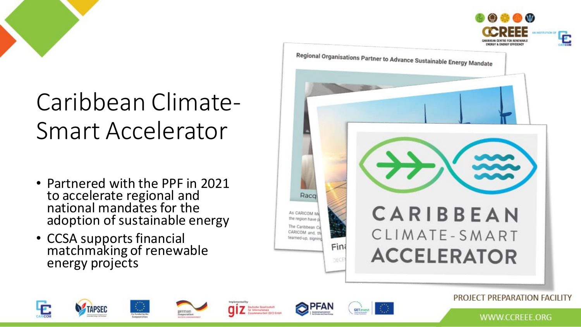



- Partnered with the PPF in 2021 to accelerate regional and national mandates for the adoption of sustainable energy
- CCSA supports financial matchmaking of renewable energy projects









#### PROJECT PREPARATION FACILITY

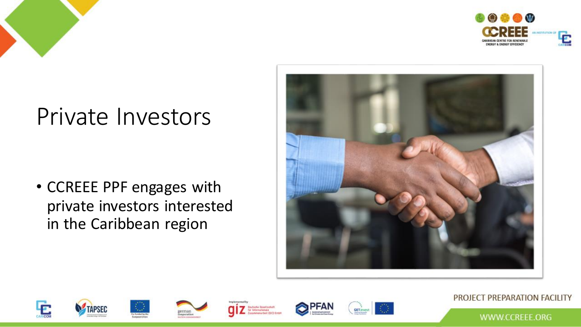



### Private Investors

• CCREEE PPF engages with private investors interested in the Caribbean region











#### PROJECT PREPARATION FACILITY

WWW.CCREEE.ORG